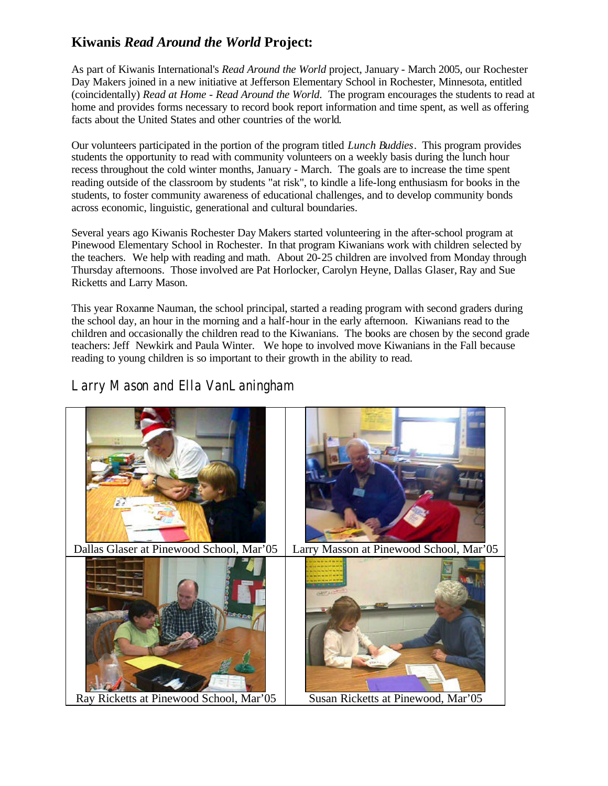## **Kiwanis** *Read Around the World* **Project:**

As part of Kiwanis International's *Read Around the World* project, January - March 2005, our Rochester Day Makers joined in a new initiative at Jefferson Elementary School in Rochester, Minnesota, entitled (coincidentally) *Read at Home - Read Around the World*. The program encourages the students to read at home and provides forms necessary to record book report information and time spent, as well as offering facts about the United States and other countries of the world.

Our volunteers participated in the portion of the program titled *Lunch Buddies*. This program provides students the opportunity to read with community volunteers on a weekly basis during the lunch hour recess throughout the cold winter months, January - March. The goals are to increase the time spent reading outside of the classroom by students "at risk", to kindle a life-long enthusiasm for books in the students, to foster community awareness of educational challenges, and to develop community bonds across economic, linguistic, generational and cultural boundaries.

Several years ago Kiwanis Rochester Day Makers started volunteering in the after-school program at Pinewood Elementary School in Rochester. In that program Kiwanians work with children selected by the teachers. We help with reading and math. About 20-25 children are involved from Monday through Thursday afternoons. Those involved are Pat Horlocker, Carolyn Heyne, Dallas Glaser, Ray and Sue Ricketts and Larry Mason.

This year Roxanne Nauman, the school principal, started a reading program with second graders during the school day, an hour in the morning and a half-hour in the early afternoon. Kiwanians read to the children and occasionally the children read to the Kiwanians. The books are chosen by the second grade teachers: Jeff Newkirk and Paula Winter. We hope to involved move Kiwanians in the Fall because reading to young children is so important to their growth in the ability to read.

## Larry Mason and Ella VanLaningham